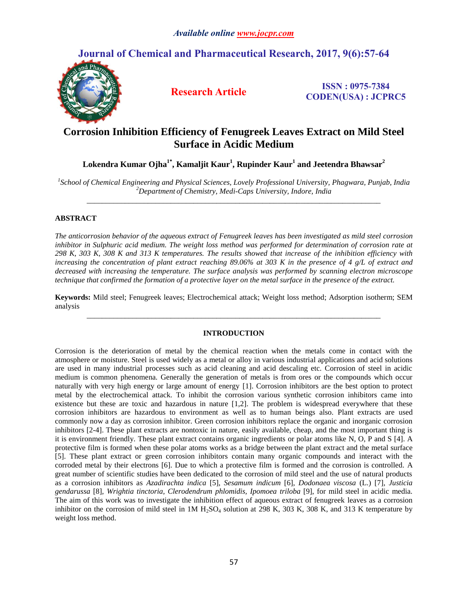# **Journal of Chemical and Pharmaceutical Research, 2017, 9(6):57-64**



**Research Article ISSN : 0975-7384 CODEN(USA) : JCPRC5**

# **Corrosion Inhibition Efficiency of Fenugreek Leaves Extract on Mild Steel Surface in Acidic Medium**

**Lokendra Kumar Ojha1\* , Kamaljit Kaur<sup>1</sup> , Rupinder Kaur<sup>1</sup> and Jeetendra Bhawsar<sup>2</sup>**

*1 School of Chemical Engineering and Physical Sciences, Lovely Professional University, Phagwara, Punjab, India <sup>2</sup>Department of Chemistry, Medi-Caps University, Indore, India* \_\_\_\_\_\_\_\_\_\_\_\_\_\_\_\_\_\_\_\_\_\_\_\_\_\_\_\_\_\_\_\_\_\_\_\_\_\_\_\_\_\_\_\_\_\_\_\_\_\_\_\_\_\_\_\_\_\_\_\_\_\_\_\_\_\_\_\_\_\_\_\_\_\_\_\_\_

# **ABSTRACT**

*The anticorrosion behavior of the aqueous extract of Fenugreek leaves has been investigated as mild steel corrosion inhibitor in Sulphuric acid medium. The weight loss method was performed for determination of corrosion rate at 298 K, 303 K, 308 K and 313 K temperatures. The results showed that increase of the inhibition efficiency with increasing the concentration of plant extract reaching 89.06% at 303 K in the presence of 4 g/L of extract and decreased with increasing the temperature. The surface analysis was performed by scanning electron microscope technique that confirmed the formation of a protective layer on the metal surface in the presence of the extract.*

**Keywords:** Mild steel; Fenugreek leaves; Electrochemical attack; Weight loss method; Adsorption isotherm; SEM analysis *\_\_\_\_\_\_\_\_\_\_\_\_\_\_\_\_\_\_\_\_\_\_\_\_\_\_\_\_\_\_\_\_\_\_\_\_\_\_\_\_\_\_\_\_\_\_\_\_\_\_\_\_\_\_\_\_\_\_\_\_\_\_\_\_\_\_\_\_\_\_\_\_\_\_\_\_\_*

## **INTRODUCTION**

Corrosion is the deterioration of metal by the chemical reaction when the metals come in contact with the atmosphere or moisture. Steel is used widely as a metal or alloy in various industrial applications and acid solutions are used in many industrial processes such as acid cleaning and acid descaling etc. Corrosion of steel in acidic medium is common phenomena. Generally the generation of metals is from ores or the compounds which occur naturally with very high energy or large amount of energy [1]. Corrosion inhibitors are the best option to protect metal by the electrochemical attack. To inhibit the corrosion various synthetic corrosion inhibitors came into existence but these are toxic and hazardous in nature [1,2]. The problem is widespread everywhere that these corrosion inhibitors are hazardous to environment as well as to human beings also. Plant extracts are used commonly now a day as corrosion inhibitor. Green corrosion inhibitors replace the organic and inorganic corrosion inhibitors [2-4]. These plant extracts are nontoxic in nature, easily available, cheap, and the most important thing is it is environment friendly. These plant extract contains organic ingredients or polar atoms like N, O, P and S [4]. A protective film is formed when these polar atoms works as a bridge between the plant extract and the metal surface [5]. These plant extract or green corrosion inhibitors contain many organic compounds and interact with the corroded metal by their electrons [6]. Due to which a protective film is formed and the corrosion is controlled. A great number of scientific studies have been dedicated to the corrosion of mild steel and the use of natural products as a corrosion inhibitors as *Azadirachta indica* [5], *Sesamum indicum* [6], *Dodonaea viscosa* (L.) [7]*, Justicia gendarussa* [8]*, Wrightia tinctoria, Clerodendrum phlomidis, Ipomoea triloba* [9], for mild steel in acidic media. The aim of this work was to investigate the inhibition effect of aqueous extract of fenugreek leaves as a corrosion inhibitor on the corrosion of mild steel in  $1M H_2SO_4$  solution at 298 K, 303 K, 308 K, and 313 K temperature by weight loss method.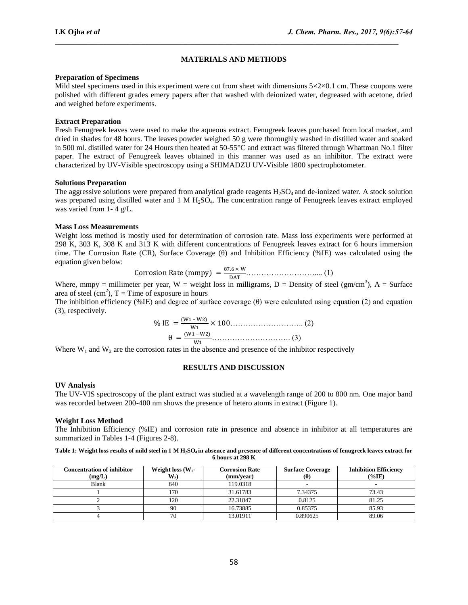# **MATERIALS AND METHODS**

 $\mathcal{L}_\text{max}$ 

#### **Preparation of Specimens**

Mild steel specimens used in this experiment were cut from sheet with dimensions  $5 \times 2 \times 0.1$  cm. These coupons were polished with different grades emery papers after that washed with deionized water, degreased with acetone, dried and weighed before experiments.

## **Extract Preparation**

Fresh Fenugreek leaves were used to make the aqueous extract. Fenugreek leaves purchased from local market, and dried in shades for 48 hours. The leaves powder weighed 50 g were thoroughly washed in distilled water and soaked in 500 ml. distilled water for 24 Hours then heated at 50-55°C and extract was filtered through Whattman No.1 filter paper. The extract of Fenugreek leaves obtained in this manner was used as an inhibitor. The extract were characterized by UV-Visible spectroscopy using a SHIMADZU UV-Visible 1800 spectrophotometer.

## **Solutions Preparation**

The aggressive solutions were prepared from analytical grade reagents  $H_2SO_4$  and de-ionized water. A stock solution was prepared using distilled water and 1 M H<sub>2</sub>SO<sub>4</sub>. The concentration range of Fenugreek leaves extract employed was varied from 1- 4 g/L.

## **Mass Loss Measurements**

Weight loss method is mostly used for determination of corrosion rate. Mass loss experiments were performed at 298 K, 303 K, 308 K and 313 K with different concentrations of Fenugreek leaves extract for 6 hours immersion time. The Corrosion Rate (CR), Surface Coverage (θ) and Inhibition Efficiency (%IE) was calculated using the equation given below:

Corrosion Rate (mmpy) = 
$$
\frac{87.6 \times W}{DAT}
$$
................. (1)

Where, mmpy = millimeter per year, W = weight loss in milligrams, D = Density of steel ( $gm/cm<sup>3</sup>$ ), A = Surface area of steel  $(cm<sup>2</sup>)$ , T = Time of exposure in hours

The inhibition efficiency (%IE) and degree of surface coverage  $(\theta)$  were calculated using equation (2) and equation (3), respectively.

 – ……………………….. (2) – …………………………. (3)

Where  $W_1$  and  $W_2$  are the corrosion rates in the absence and presence of the inhibitor respectively

#### **RESULTS AND DISCUSSION**

#### **UV Analysis**

The UV-VIS spectroscopy of the plant extract was studied at a wavelength range of 200 to 800 nm. One major band was recorded between 200-400 nm shows the presence of hetero atoms in extract (Figure 1).

#### **Weight Loss Method**

The Inhibition Efficiency (%IE) and corrosion rate in presence and absence in inhibitor at all temperatures are summarized in Tables 1-4 (Figures 2-8).

#### **Table 1: Weight loss results of mild steel in 1 M H2SO4 in absence and presence of different concentrations of fenugreek leaves extract for 6 hours at 298 K**

| <b>Concentration of inhibitor</b><br>(mg/L) | Weight loss $(W_1$ -<br>$W_2$ | <b>Corrosion Rate</b><br>(mm/year) | <b>Surface Coverage</b><br>$(\theta)$ | <b>Inhibition Efficiency</b><br>$(\%$ IE) |
|---------------------------------------------|-------------------------------|------------------------------------|---------------------------------------|-------------------------------------------|
| <b>Blank</b>                                | 640                           | 119.0318                           |                                       |                                           |
|                                             | 170                           | 31.61783                           | 7.34375                               | 73.43                                     |
|                                             | 120                           | 22.31847                           | 0.8125                                | 81.25                                     |
|                                             | 90                            | 16.73885                           | 0.85375                               | 85.93                                     |
|                                             | 70                            | 13.01911                           | 0.890625                              | 89.06                                     |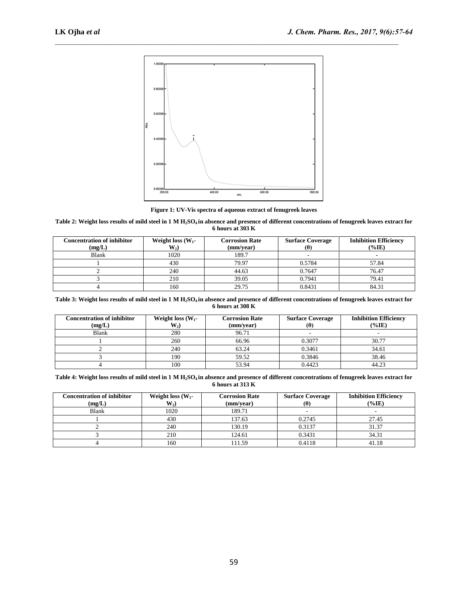

**Figure 1: UV-Vis spectra of aqueous extract of fenugreek leaves**

#### **Table 2: Weight loss results of mild steel in 1 M H2SO4 in absence and presence of different concentrations of fenugreek leaves extract for 6 hours at 303 K**

| <b>Concentration of inhibitor</b><br>(mg/L) | Weight loss $(W_1$ -<br>$W_2$ | <b>Corrosion Rate</b><br>(mm/year) | <b>Surface Coverage</b><br>$(\theta)$ | <b>Inhibition Efficiency</b><br>$(\%$ IE) |
|---------------------------------------------|-------------------------------|------------------------------------|---------------------------------------|-------------------------------------------|
| Blank                                       | 1020                          | 189.7                              |                                       |                                           |
|                                             | 430                           | 79.97                              | 0.5784                                | 57.84                                     |
|                                             | 240                           | 44.63                              | 0.7647                                | 76.47                                     |
|                                             | 210                           | 39.05                              | 0.7941                                | 79.41                                     |
|                                             | 160                           | 29.75                              | 0.8431                                | 84.31                                     |

**Table 3: Weight loss results of mild steel in 1 M H2SO4 in absence and presence of different concentrations of fenugreek leaves extract for 6 hours at 308 K**

| <b>Concentration of inhibitor</b><br>(mg/L) | Weight loss $(W_1$ -<br>$W_2$ | <b>Corrosion Rate</b><br>(mm/year) | <b>Surface Coverage</b><br>(U) | <b>Inhibition Efficiency</b><br>$(\%$ IE) |
|---------------------------------------------|-------------------------------|------------------------------------|--------------------------------|-------------------------------------------|
| Blank                                       | 280                           | 96.71                              |                                |                                           |
|                                             | 260                           | 66.96                              | 0.3077                         | 30.77                                     |
|                                             | 240                           | 63.24                              | 0.3461                         | 34.61                                     |
|                                             | 190                           | 59.52                              | 0.3846                         | 38.46                                     |
|                                             | 100                           | 53.94                              | 0.4423                         | 44.23                                     |

**Table 4: Weight loss results of mild steel in 1 M H2SO4 in absence and presence of different concentrations of fenugreek leaves extract for 6 hours at 313 K**

| <b>Concentration of inhibitor</b><br>(mg/L) | Weight loss $(W_1$ -<br>$W_2)$ | <b>Corrosion Rate</b><br>(mm/year) | <b>Surface Coverage</b><br>$(\theta)$ | <b>Inhibition Efficiency</b><br>$(\%$ IE) |
|---------------------------------------------|--------------------------------|------------------------------------|---------------------------------------|-------------------------------------------|
| <b>Blank</b>                                | 1020                           | 189.71                             | $\overline{\phantom{a}}$              |                                           |
|                                             | 430                            | 137.63                             | 0.2745                                | 27.45                                     |
|                                             | 240                            | 130.19                             | 0.3137                                | 31.37                                     |
|                                             | 210                            | 124.61                             | 0.3431                                | 34.31                                     |
|                                             | 160                            | 11.59                              | 0.4118                                | 41.18                                     |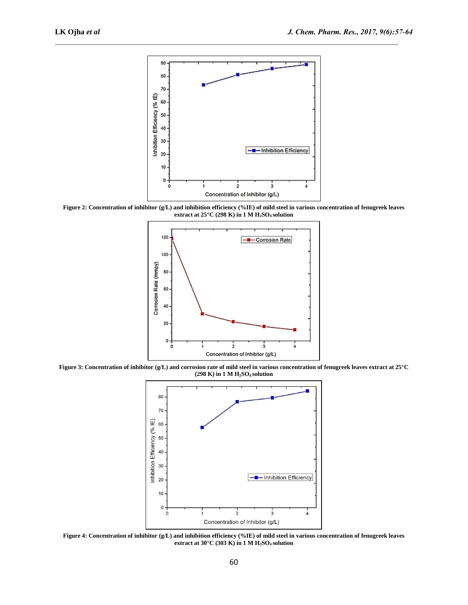

**Figure 2: Concentration of inhibitor (g/L) and inhibition efficiency (%IE) of mild steel in various concentration of fenugreek leaves extract at 25°C (298 K) in 1 M H2SO4 solution**



**Figure 3: Concentration of inhibitor (g/L) and corrosion rate of mild steel in various concentration of fenugreek leaves extract at 25°C (298 K) in 1 M H2SO4 solution**



**Figure 4: Concentration of inhibitor (g/L) and inhibition efficiency (%IE) of mild steel in various concentration of fenugreek leaves extract at 30°C (303 K) in 1 M H2SO4 solution**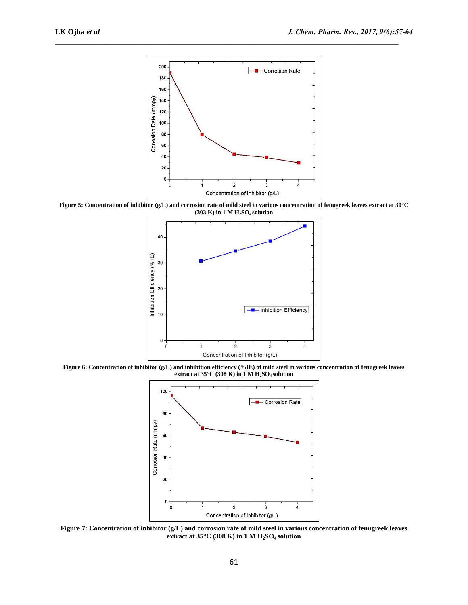

**Figure 5: Concentration of inhibitor (g/L) and corrosion rate of mild steel in various concentration of fenugreek leaves extract at 30°C (303 K) in 1 M H2SO4 solution**



**Figure 6: Concentration of inhibitor (g/L) and inhibition efficiency (%IE) of mild steel in various concentration of fenugreek leaves extract at 35°C (308 K) in 1 M H2SO4 solution**



**Figure 7: Concentration of inhibitor (g/L) and corrosion rate of mild steel in various concentration of fenugreek leaves extract at 35°C (308 K) in 1 M H2SO4 solution**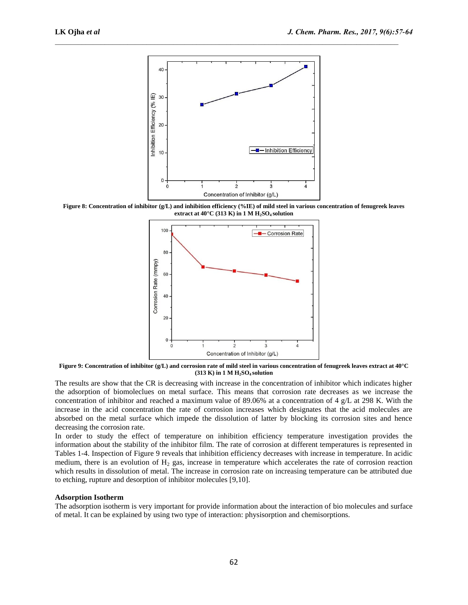

**Figure 8: Concentration of inhibitor (g/L) and inhibition efficiency (%IE) of mild steel in various concentration of fenugreek leaves extract at 40°C (313 K) in 1 M H2SO4 solution**



**Figure 9: Concentration of inhibitor (g/L) and corrosion rate of mild steel in various concentration of fenugreek leaves extract at 40°C (313 K) in 1 M H2SO4 solution**

The results are show that the CR is decreasing with increase in the concentration of inhibitor which indicates higher the adsorption of biomoleclues on metal surface. This means that corrosion rate decreases as we increase the concentration of inhibitor and reached a maximum value of 89.06% at a concentration of 4 g/L at 298 K. With the increase in the acid concentration the rate of corrosion increases which designates that the acid molecules are absorbed on the metal surface which impede the dissolution of latter by blocking its corrosion sites and hence decreasing the corrosion rate.

In order to study the effect of temperature on inhibition efficiency temperature investigation provides the information about the stability of the inhibitor film. The rate of corrosion at different temperatures is represented in Tables 1-4. Inspection of Figure 9 reveals that inhibition efficiency decreases with increase in temperature. In acidic medium, there is an evolution of  $H_2$  gas, increase in temperature which accelerates the rate of corrosion reaction which results in dissolution of metal. The increase in corrosion rate on increasing temperature can be attributed due to etching, rupture and desorption of inhibitor molecules [9,10].

#### **Adsorption Isotherm**

The adsorption isotherm is very important for provide information about the interaction of bio molecules and surface of metal. It can be explained by using two type of interaction: physisorption and chemisorptions.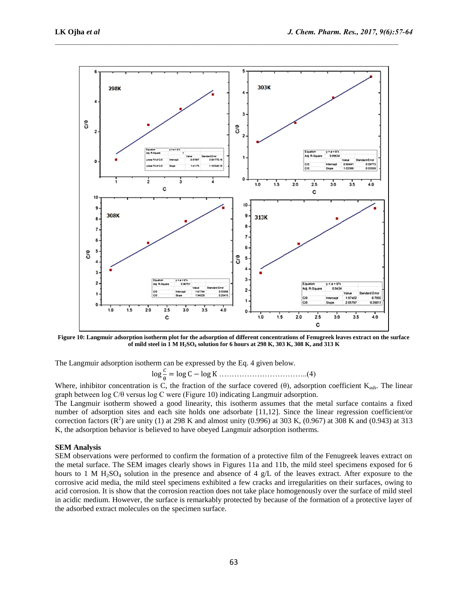

**Figure 10: Langmuir adsorption isotherm plot for the adsorption of different concentrations of Fenugreek leaves extract on the surface of mild steel in 1 M H2SO<sup>4</sup> solution for 6 hours at 298 K, 303 K, 308 K, and 313 K**

The Langmuir adsorption isotherm can be expressed by the Eq. 4 given below.

 ……………………………..(4)

Where, inhibitor concentration is C, the fraction of the surface covered (θ), adsorption coefficient K*ads*. The linear graph between log C/θ versus log C were (Figure 10) indicating Langmuir adsorption.

The Langmuir isotherm showed a good linearity, this isotherm assumes that the metal surface contains a fixed number of adsorption sites and each site holds one adsorbate [11,12]. Since the linear regression coefficient/or correction factors  $(R^2)$  are unity (1) at 298 K and almost unity (0.996) at 303 K, (0.967) at 308 K and (0.943) at 313 K, the adsorption behavior is believed to have obeyed Langmuir adsorption isotherms.

#### **SEM Analysis**

SEM observations were performed to confirm the formation of a protective film of the Fenugreek leaves extract on the metal surface. The SEM images clearly shows in Figures 11a and 11b, the mild steel specimens exposed for 6 hours to 1 M H<sub>2</sub>SO<sub>4</sub> solution in the presence and absence of 4 g/L of the leaves extract. After exposure to the corrosive acid media, the mild steel specimens exhibited a few cracks and irregularities on their surfaces, owing to acid corrosion. It is show that the corrosion reaction does not take place homogenously over the surface of mild steel in acidic medium. However, the surface is remarkably protected by because of the formation of a protective layer of the adsorbed extract molecules on the specimen surface.